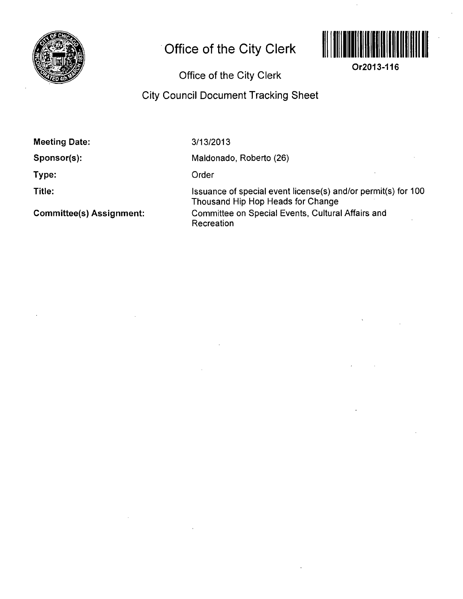

## **Office of the City Clerk**



**Or2013-116** 

## **Office of the City Clerk**

## **City Council Document Tracking Sheet**

**Meeting Date:** 

**Sponsor(s):** 

**Type:** 

**Title:** 

**Committee(s) Assignment:** 

3/13/2013

Maldonado, Roberto (26)

Order

Issuance of special event license(s) and/or permit(s) for 100 Thousand Hip Hop Heads for Change Committee on Special Events, Cultural Affairs and **Recreation**